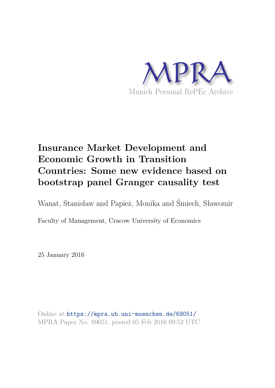

# **Insurance Market Development and Economic Growth in Transition Countries: Some new evidence based on bootstrap panel Granger causality test**

Wanat, Stanisław and Papież, Monika and Śmiech, Sławomir

Faculty of Management, Cracow University of Economics

25 January 2016

Online at https://mpra.ub.uni-muenchen.de/69051/ MPRA Paper No. 69051, posted 05 Feb 2016 09:52 UTC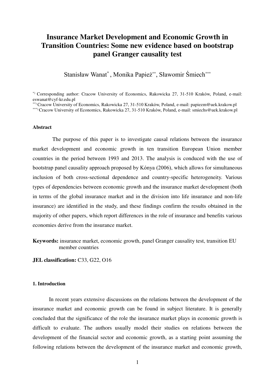## **Insurance Market Development and Economic Growth in Transition Countries: Some new evidence based on bootstrap panel Granger causality test**

Stanisław Wanat\* , Monika Papież\*\*, Sławomir Śmiech\*\*\*

\*) Corresponding author: Cracow University of Economics, Rakowicka 27, 31-510 Kraków, Poland, e-mail: eswanat@cyf-kr.edu.pl

#### **Abstract**

 The purpose of this paper is to investigate causal relations between the insurance market development and economic growth in ten transition European Union member countries in the period between 1993 and 2013. The analysis is conduced with the use of bootstrap panel causality approach proposed by Kónya (2006), which allows for simultaneous inclusion of both cross-sectional dependence and country-specific heterogeneity. Various types of dependencies between economic growth and the insurance market development (both in terms of the global insurance market and in the division into life insurance and non-life insurance) are identified in the study, and these findings confirm the results obtained in the majority of other papers, which report differences in the role of insurance and benefits various economies derive from the insurance market.

**Keywords:** insurance market, economic growth, panel Granger causality test, transition EU member countries

**JEL classification: C33, G22, O16** 

#### **1. Introduction**

In recent years extensive discussions on the relations between the development of the insurance market and economic growth can be found in subject literature. It is generally concluded that the significance of the role the insurance market plays in economic growth is difficult to evaluate. The authors usually model their studies on relations between the development of the financial sector and economic growth, as a starting point assuming the following relations between the development of the insurance market and economic growth,

<sup>\*\*)</sup> Cracow University of Economics, Rakowicka 27, 31-510 Kraków, Poland, e-mail: papiezm@uek.krakow.pl

<sup>\*\*\*)</sup> Cracow University of Economics, Rakowicka 27, 31-510 Kraków, Poland, e-mail: smiechs@uek.krakow.pl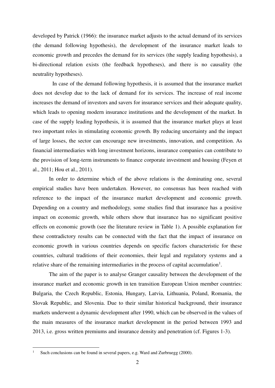developed by Patrick (1966): the insurance market adjusts to the actual demand of its services (the demand following hypothesis), the development of the insurance market leads to economic growth and precedes the demand for its services (the supply leading hypothesis), a bi-directional relation exists (the feedback hypotheses), and there is no causality (the neutrality hypotheses).

 In case of the demand following hypothesis, it is assumed that the insurance market does not develop due to the lack of demand for its services. The increase of real income increases the demand of investors and savers for insurance services and their adequate quality, which leads to opening modern insurance institutions and the development of the market. In case of the supply leading hypothesis, it is assumed that the insurance market plays at least two important roles in stimulating economic growth. By reducing uncertainty and the impact of large losses, the sector can encourage new investments, innovation, and competition. As financial intermediaries with long investment horizons, insurance companies can contribute to the provision of long-term instruments to finance corporate investment and housing (Feyen et al., 2011; Hou et al., 2011).

 In order to determine which of the above relations is the dominating one, several empirical studies have been undertaken. However, no consensus has been reached with reference to the impact of the insurance market development and economic growth. Depending on a country and methodology, some studies find that insurance has a positive impact on economic growth, while others show that insurance has no significant positive effects on economic growth (see the literature review in Table 1). A possible explanation for these contradictory results can be connected with the fact that the impact of insurance on economic growth in various countries depends on specific factors characteristic for these countries, cultural traditions of their economies, their legal and regulatory systems and a relative share of the remaining intermediaries in the process of capital accumulation<sup>1</sup>.

The aim of the paper is to analyse Granger causality between the development of the insurance market and economic growth in ten transition European Union member countries: Bulgaria, the Czech Republic, Estonia, Hungary, Latvia, Lithuania, Poland, Romania, the Slovak Republic, and Slovenia. Due to their similar historical background, their insurance markets underwent a dynamic development after 1990, which can be observed in the values of the main measures of the insurance market development in the period between 1993 and 2013, i.e. gross written premiums and insurance density and penetration (cf. Figures 1-3).

-

<sup>1</sup> Such conclusions can be found in several papers, e.g. Ward and Zurbruegg (2000).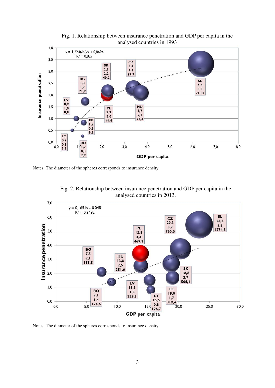

Fig. 1. Relationship between insurance penetration and GDP per capita in the analysed countries in 1993

Notes: The diameter of the spheres corresponds to insurance density



Fig. 2. Relationship between insurance penetration and GDP per capita in the analysed countries in 2013.

Notes: The diameter of the spheres corresponds to insurance density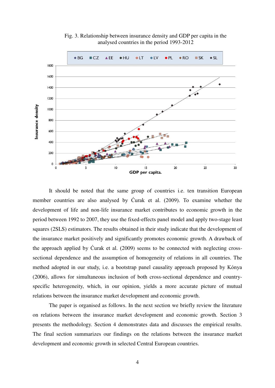

Fig. 3. Relationship between insurance density and GDP per capita in the analysed countries in the period 1993-2012

It should be noted that the same group of countries i.e. ten transition European member countries are also analysed by Ćurak et al. (2009). To examine whether the development of life and non-life insurance market contributes to economic growth in the period between 1992 to 2007, they use the fixed-effects panel model and apply two-stage least squares (2SLS) estimators. The results obtained in their study indicate that the development of the insurance market positively and significantly promotes economic growth. A drawback of the approach applied by Ćurak et al. (2009) seems to be connected with neglecting crosssectional dependence and the assumption of homogeneity of relations in all countries. The method adopted in our study, i.e. a bootstrap panel causality approach proposed by Kónya (2006), allows for simultaneous inclusion of both cross-sectional dependence and countryspecific heterogeneity, which, in our opinion, yields a more accurate picture of mutual relations between the insurance market development and economic growth.

The paper is organised as follows. In the next section we briefly review the literature on relations between the insurance market development and economic growth. Section 3 presents the methodology. Section 4 demonstrates data and discusses the empirical results. The final section summarizes our findings on the relations between the insurance market development and economic growth in selected Central European countries.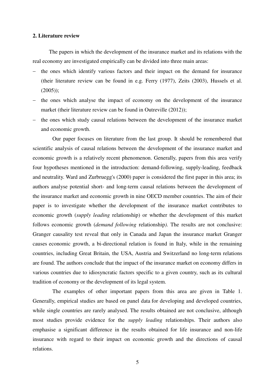#### **2. Literature review**

The papers in which the development of the insurance market and its relations with the real economy are investigated empirically can be divided into three main areas:

- the ones which identify various factors and their impact on the demand for insurance (their literature review can be found in e.g. Ferry (1977), Zeits (2003), Hussels et al.  $(2005)$ ;
- $-$  the ones which analyse the impact of economy on the development of the insurance market (their literature review can be found in Outreville (2012));
- the ones which study causal relations between the development of the insurance market and economic growth.

 Our paper focuses on literature from the last group. It should be remembered that scientific analysis of causal relations between the development of the insurance market and economic growth is a relatively recent phenomenon. Generally, papers from this area verify four hypotheses mentioned in the introduction: demand-following, supply-leading, feedback and neutrality. Ward and Zurbruegg's (2000) paper is considered the first paper in this area; its authors analyse potential short- and long-term causal relations between the development of the insurance market and economic growth in nine OECD member countries. The aim of their paper is to investigate whether the development of the insurance market contributes to economic growth (*supply leading* relationship) or whether the development of this market follows economic growth (*demand following* relationship*)*. The results are not conclusive: Granger causality test reveal that only in Canada and Japan the insurance market Granger causes economic growth, a bi-directional relation is found in Italy, while in the remaining countries, including Great Britain, the USA, Austria and Switzerland no long-term relations are found. The authors conclude that the impact of the insurance market on economy differs in various countries due to idiosyncratic factors specific to a given country, such as its cultural tradition of economy or the development of its legal system.

 The examples of other important papers from this area are given in Table 1. Generally, empirical studies are based on panel data for developing and developed countries, while single countries are rarely analysed. The results obtained are not conclusive, although most studies provide evidence for the *supply leading* relationships. Their authors also emphasise a significant difference in the results obtained for life insurance and non-life insurance with regard to their impact on economic growth and the directions of causal relations.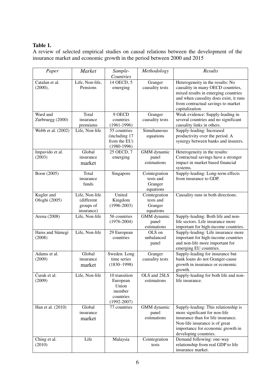## **Table 1.**

A review of selected empirical studies on causal relations between the development of the insurance market and economic growth in the period between 2000 and 2015

| Paper                        | Market                                                  | Sample-<br>Countries                                                         | Methodology                                        | Results                                                                                                                                                                                                         |
|------------------------------|---------------------------------------------------------|------------------------------------------------------------------------------|----------------------------------------------------|-----------------------------------------------------------------------------------------------------------------------------------------------------------------------------------------------------------------|
| Catalan et al.<br>(2000),    | Life, Non-life,<br>Pensions                             | 14 OECD, 5<br>emerging                                                       | Granger<br>causality tests                         | Heterogeneity in the results: No<br>causality in many OECD countries,<br>mixed results in emerging countries<br>and when causality does exist, it runs<br>from contractual savings to market<br>capitalization. |
| Ward and<br>Zurbruegg (2000) | Total<br>insurance<br>premiums                          | 9 OECD<br>countries<br>$(1961 - 1996)$                                       | Granger<br>causality tests                         | Weak evidence: Supply-leading in<br>several countries and no significant<br>causality links in others.                                                                                                          |
| Webb et al. (2002)           | Life, Non-life                                          | 55 countries<br>(including 17<br>from the EU)<br>$(1980-1996)$               | Simultaneous<br>equations                          | Supply-leading: Increased<br>productivity over the period. A<br>synergy between banks and insurers.                                                                                                             |
| Impavido et al.<br>(2003)    | Global<br>insurance<br>market                           | 25 OECD, 7<br>emerging                                                       | GMM dynamic<br>panel<br>estimations                | Heterogeneity in the results:<br>Contractual savings have a stronger<br>impact in market based financial<br>systems.                                                                                            |
| Boon (2005)                  | Total<br>insurance<br>funds                             | Singapore                                                                    | Cointegration<br>tests and<br>Granger<br>equations | Supply-leading: Long-term effects<br>from insurance to GDP.                                                                                                                                                     |
| Kugler and<br>Ofoghi (2005)  | Life, Non-life<br>(different<br>groups of<br>insurance) | United<br>Kingdom<br>$(1996 - 2003)$                                         | Cointegration<br>tests and<br>Granger<br>equations | Causality runs in both directions.                                                                                                                                                                              |
| Arena (2008)                 | Life, Non-life                                          | 56 countries<br>$(1976 - 2004)$                                              | GMM dynamic<br>panel<br>estimations                | Supply-leading: Both life and non-<br>life sectors. Life insurance more<br>important for high-income countries.                                                                                                 |
| Haiss and Sümegi<br>(2008)   | Life, Non-life                                          | 29 European<br>countries                                                     | OLS on<br>unbalanced<br>panel                      | Supply-leading: Life insurance more<br>important for high-income countries<br>and non-life more important for<br>emerging EU countries.                                                                         |
| Adams et al.<br>(2009)       | Global<br>insurance<br>market                           | Sweden. Long<br>time series<br>$(1830 - 1998)$                               | Granger<br>causality tests                         | Supply-leading for insurance but<br>bank loans do not Granger-cause<br>growth in insurance or economic<br>growth.                                                                                               |
| Curak et al.<br>(2009)       | Life, Non-life                                          | 10 transition<br>European<br>Union<br>member<br>countries<br>$(1992 - 2007)$ | OLS and 2SLS<br>estimations                        | Supply-leading for both life and non-<br>life insurance.                                                                                                                                                        |
| Han et al. (2010)            | Global<br>insurance<br>market                           | 77 countries                                                                 | GMM dynamic<br>panel<br>estimations                | Supply-leading: This relationship is<br>more significant for non-life<br>insurance than for life insurance.<br>Non-life insurance is of great<br>importance for economic growth in<br>developing countries.     |
| Ching et al.<br>(2010)       | Life                                                    | Malaysia                                                                     | Cointegration<br>tests                             | Demand following: one-way<br>relationship from real GDP to life<br>insurance market.                                                                                                                            |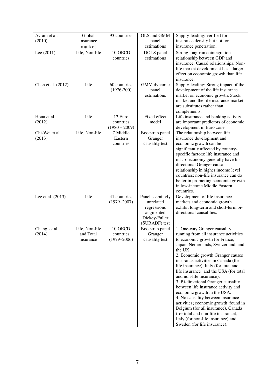| Avram et al.             | Global                                   | 93 countries                            | OLS and GMM                                                                                | Supply-leading: verified for                                                                                                                                                                                                                                                                                                                                                                                                                                                                                                                                                                                                                                                                        |
|--------------------------|------------------------------------------|-----------------------------------------|--------------------------------------------------------------------------------------------|-----------------------------------------------------------------------------------------------------------------------------------------------------------------------------------------------------------------------------------------------------------------------------------------------------------------------------------------------------------------------------------------------------------------------------------------------------------------------------------------------------------------------------------------------------------------------------------------------------------------------------------------------------------------------------------------------------|
| (2010)                   | insurance                                |                                         | panel                                                                                      | insurance density but not for                                                                                                                                                                                                                                                                                                                                                                                                                                                                                                                                                                                                                                                                       |
|                          | market                                   |                                         | estimations                                                                                | insurance penetration.                                                                                                                                                                                                                                                                                                                                                                                                                                                                                                                                                                                                                                                                              |
| Lee (2011)               | Life, Non-life                           | 10 OECD<br>countries                    | DOLS panel<br>estimations                                                                  | Strong long-run cointegration<br>relationship between GDP and<br>insurance. Causal relationships. Non-<br>life market development has a larger<br>effect on economic growth than life<br>insurance.                                                                                                                                                                                                                                                                                                                                                                                                                                                                                                 |
| Chen et al. (2012)       | Life                                     | 60 countries<br>$(1976 - 200)$          | GMM dynamic<br>panel<br>estimations                                                        | Supply-leading: Strong impact of the<br>development of the life insurance<br>market on economic growth. Stock<br>market and the life insurance market<br>are substitutes rather than<br>complements.                                                                                                                                                                                                                                                                                                                                                                                                                                                                                                |
| Houa et al.              | Life                                     | 12 Euro                                 | Fixed effect                                                                               | Life insurance and banking activity                                                                                                                                                                                                                                                                                                                                                                                                                                                                                                                                                                                                                                                                 |
| (2012).                  |                                          | countries<br>$(1980 - 2009)$            | model                                                                                      | are important predictors of economic<br>development in Euro zone.                                                                                                                                                                                                                                                                                                                                                                                                                                                                                                                                                                                                                                   |
| Chi-Wei et al.<br>(2013) | Life, Non-life                           | 7 Middle<br>Eastern<br>countries        | Bootstrap panel<br>Granger<br>causality test                                               | The relationship between life<br>insurance development and<br>economic growth can be<br>significantly affected by country-<br>specific factors; life insurance and<br>macro economy generally have bi-<br>directional Granger causal<br>relationship in higher income level<br>countries; non-life insurance can do<br>better in promoting economic growth<br>in low-income Middle Eastern<br>countries.                                                                                                                                                                                                                                                                                            |
| Lee et al. (2013)        | Life                                     | 41 countries<br>$(1979 - 2007)$         | Panel seemingly<br>unrelated<br>regressions<br>augmented<br>Dickey-Fuller<br>(SURADF) test | Development of life insurance<br>markets and economic growth<br>exhibit long-term and short-term bi-<br>directional causalities.                                                                                                                                                                                                                                                                                                                                                                                                                                                                                                                                                                    |
| Chang, et al.<br>(2014)  | Life, Non-life<br>and Total<br>insurance | 10 OECD<br>countries<br>$(1979 - 2006)$ | Bootstrap panel<br>Granger<br>causality test                                               | 1. One-way Granger causality<br>running from all insurance activities<br>to economic growth for France,<br>Japan, Netherlands, Switzerland, and<br>the UK.<br>2. Economic growth Granger causes<br>insurance activities in Canada (for<br>life insurance), Italy (for total and<br>life insurance) and the USA (for total<br>and non-life insurance).<br>3. Bi-directional Granger causality<br>between life insurance activity and<br>economic growth in the USA.<br>4. No causality between insurance<br>activities; economic growth found in<br>Belgium (for all insurance), Canada<br>(for total and non-life insurance),<br>Italy (for non-life insurance) and<br>Sweden (for life insurance). |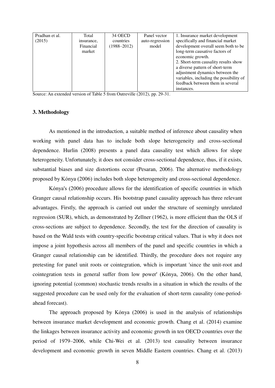| Pradhan et al. | Total      | 34 OECD         | Panel vector    | 1. Insurance market development         |
|----------------|------------|-----------------|-----------------|-----------------------------------------|
| (2015)         | insurance, | countries       | auto-regression | specifically and financial market       |
|                | Financial  | $(1988 - 2012)$ | model           | development overall seem both to be     |
|                | market     |                 |                 | long-term causative factors of          |
|                |            |                 |                 | economic growth.                        |
|                |            |                 |                 | 2. Short-term causality results show    |
|                |            |                 |                 | a diverse pattern of short-term         |
|                |            |                 |                 | adjustment dynamics between the         |
|                |            |                 |                 | variables, including the possibility of |
|                |            |                 |                 | feedback between them in several        |
|                |            |                 |                 | instances.                              |

Source: An extended version of Table 5 from Outreville (2012), pp. 29-31.

#### **3. Methodology**

As mentioned in the introduction, a suitable method of inference about causality when working with panel data has to include both slope heterogeneity and cross-sectional dependence. Hurlin (2008) presents a panel data causality test which allows for slope heterogeneity. Unfortunately, it does not consider cross-sectional dependence, thus, if it exists, substantial biases and size distortions occur (Pesaran, 2006). The alternative methodology proposed by Kónya (2006) includes both slope heterogeneity and cross-sectional dependence.

Kónya's (2006) procedure allows for the identification of specific countries in which Granger causal relationship occurs. His bootstrap panel causality approach has three relevant advantages. Firstly, the approach is carried out under the structure of seemingly unrelated regression (SUR), which, as demonstrated by Zellner (1962), is more efficient than the OLS if cross-sections are subject to dependence. Secondly, the test for the direction of causality is based on the Wald tests with country-specific bootstrap critical values. That is why it does not impose a joint hypothesis across all members of the panel and specific countries in which a Granger causal relationship can be identified. Thirdly, the procedure does not require any pretesting for panel unit roots or cointegration, which is important 'since the unit-root and cointegration tests in general suffer from low power' (Kónya, 2006). On the other hand, ignoring potential (common) stochastic trends results in a situation in which the results of the suggested procedure can be used only for the evaluation of short-term causality (one-periodahead forecast).

The approach proposed by Kónya (2006) is used in the analysis of relationships between insurance market development and economic growth. Chang et al. (2014) examine the linkages between insurance activity and economic growth in ten OECD countries over the period of 1979–2006, while Chi-Wei et al. (2013) test causality between insurance development and economic growth in seven Middle Eastern countries. Chang et al. (2013)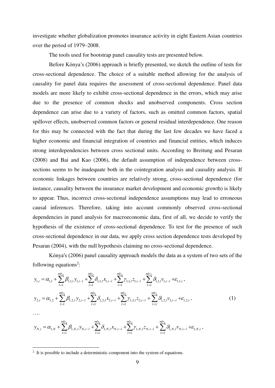investigate whether globalization promotes insurance activity in eight Eastern Asian countries over the period of 1979–2008.

The tools used for bootstrap panel causality tests are presented below.

Before Kónya's (2006) approach is briefly presented, we sketch the outline of tests for cross-sectional dependence. The choice of a suitable method allowing for the analysis of causality for panel data requires the assessment of cross-sectional dependence. Panel data models are more likely to exhibit cross-sectional dependence in the errors, which may arise due to the presence of common shocks and unobserved components. Cross section dependence can arise due to a variety of factors, such as omitted common factors, spatial spillover effects, unobserved common factors or general residual interdependence. One reason for this may be connected with the fact that during the last few decades we have faced a higher economic and financial integration of countries and financial entities, which induces strong interdependencies between cross sectional units. According to Breitung and Pesaran (2008) and Bai and Kao (2006), the default assumption of independence between crosssections seems to be inadequate both in the cointegration analysis and causality analysis. If economic linkages between countries are relatively strong, cross-sectional dependence (for instance, causality between the insurance market development and economic growth) is likely to appear. Thus, incorrect cross-sectional independence assumptions may lead to erroneous causal inferences. Therefore, taking into account commonly observed cross-sectional dependencies in panel analysis for macroeconomic data, first of all, we decide to verify the hypothesis of the existence of cross-sectional dependence. To test for the presence of such cross-sectional dependence in our data, we apply cross section dependence tests developed by Pesaran (2004), with the null hypothesis claiming no cross-sectional dependence.

Kónya's (2006) panel causality approach models the data as a system of two sets of the following equations<sup>2</sup>:

$$
y_{1,t} = \alpha_{1,1} + \sum_{l=1}^{mly_1} \beta_{1,1,l} y_{1,t-l} + \sum_{l=1}^{mlx_1} \delta_{1,1,l} x_{1,t-l} + \sum_{l=1}^{mlz_1} \gamma_{1,1,l} z_{1,t-l} + \sum_{l=1}^{mlv_1} \beta_{1,1,l} y_{1,t-l} + \varepsilon_{1,1,t} ,
$$
  

$$
y_{2,t} = \alpha_{1,2} + \sum_{l=1}^{mly_1} \beta_{1,2,l} y_{2,t-l} + \sum_{l=1}^{mlx_1} \delta_{1,2,l} x_{2,t-l} + \sum_{l=1}^{mlz_1} \gamma_{1,2,l} z_{2,t-l} + \sum_{l=1}^{mlv_1} \beta_{1,2,l} y_{2,t-l} + \varepsilon_{1,2,t} ,
$$
 (1)

$$
\ldots
$$

$$
y_{N,t} = \alpha_{1,N} + \sum_{l=1}^{m!y_1} \beta_{1,N,l} y_{N,t-l} + \sum_{l=1}^{m!x_1} \delta_{1,N,l} x_{N,t-l} + \sum_{l=1}^{m!z_1} \gamma_{1,N,l} z_{N,t-l} + \sum_{l=1}^{m!y_1} \beta_{1,N,l} y_{N,t-l} + \varepsilon_{1,N,t},
$$

<sup>&</sup>lt;sup>2</sup> It is possible to include a deterministic component into the system of equations.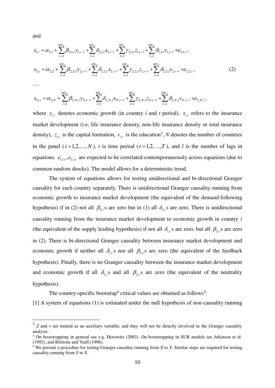and

$$
x_{1,t} = \alpha_{2,1} + \sum_{l=1}^{mly_2} \beta_{2,1,l} y_{1,t-l} + \sum_{l=1}^{mlx_2} \delta_{2,1,l} x_{1,t-l} + \sum_{l=1}^{mlz_2} \gamma_{2,1,l} z_{1,t-l} + \sum_{l=1}^{mlv_2} \beta_{2,1,l} y_{1,t-l} + \varepsilon_{2,1,t},
$$
  

$$
x_{2,t} = \alpha_{2,2} + \sum_{l=1}^{mly_2} \beta_{2,2,l} y_{2,t-l} + \sum_{l=1}^{mlx_2} \delta_{2,2,l} x_{2,t-l} + \sum_{l=1}^{mlz_2} \gamma_{2,2,l} z_{2,t-l} + \sum_{l=1}^{mlv_2} \beta_{2,2,l} y_{2,t-l} + \varepsilon_{2,2,t},
$$
 (2)

….

-

$$
x_{N,t} = \alpha_{2,N} + \sum_{l=1}^{mly_2} \beta_{2,N,l} y_{N,t-l} + \sum_{l=1}^{mlx_2} \delta_{2,N,l} x_{N,t-l} + \sum_{l=1}^{mlz_2} \gamma_{2,N,l} z_{N,t-l} + \sum_{l=1}^{mlv_2} \beta_{2,N,l} v_{N,t-l} + \varepsilon_{2,N,t},
$$

where  $y_{i,t}$  denotes economic growth (in country *i* and *t* period),  $x_{i,t}$  refers to the insurance market development (i.e. life insurance density, non-life insurance density or total insurance density),  $z_{i,t}$  is the capital formation,  $v_{i,t}$  is the education<sup>3</sup>, N denotes the number of countries in the panel  $(i=1,2,...,N)$ , *t* is time period  $(t=1,2,...,T)$ , and *l* is the number of lags in equations.  $\varepsilon_{1,i,t}, \varepsilon_{2,i,t}$  are expected to be correlated contemporaneously across equations (due to common random shocks). The model allows for a deterministic trend.

 The system of equations allows for testing unidirectional and bi-directional Granger causality for each country separately. There is unidirectional Granger causality running from economic growth to insurance market development (the equivalent of the demand-following hypothesis) if in (2) not all  $\beta_{2,i}$  s are zero but in (1) all  $\delta_{1,i}$  s are zero. There is unidirectional causality running from the insurance market development to economic growth in country *i* (the equivalent of the supply leading hypothesis) if not all  $\delta_{1,i}$  s are zero, but all  $\beta_{2,i}$  s are zero in (2). There is bi-directional Granger causality between insurance market development and economic growth if neither all  $\delta_{1,i}$  s nor all  $\beta_{2,i}$  are zero (the equivalent of the feedback hypothesis). Finally, there is no Granger causality between the insurance market development and economic growth if all  $\delta_{1,i}$  *s* and all  $\beta_{2,i}$  *s* are zero (the equivalent of the neutrality hypothesis).

The country-specific bootstrap<sup>4</sup> critical values are obtained as follows<sup>5</sup>:

[1] A system of equations (1) is estimated under the null hypothesis of non-causality running

<sup>&</sup>lt;sup>3</sup> Z and v are treated as an auxiliary variable, and they will not be directly involved in the Granger causality analysis.

<sup>4</sup> On bootstrapping in general see e.g. Horowitz (2003). On bootstrapping in SUR models see Atkinson et al. (1992), and Rilstone and Veall (1996).

<sup>5</sup> We present a procedure for testing Granger causality running from *X* to *Y*. Similar steps are required for testing causality running from *Y* to *X*.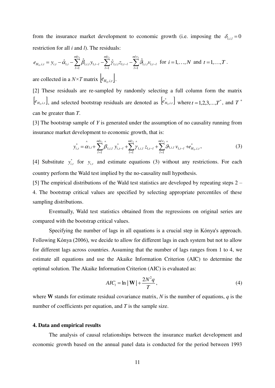from the insurance market development to economic growth (i.e. imposing the  $\delta_{1,i,l} = 0$ restriction for all *i* and *l*). The residuals:

$$
e_{H_0,i,t} = y_{i,t} - \hat{\alpha}_{1,i} - \sum_{l=1}^{m!y_l} \hat{\beta}_{1,i,l} y_{1,t-l} - \sum_{l=1}^{m!z_l} \hat{\gamma}_{1,i,l} z_{1,t-l} - \sum_{l=1}^{m!y_l} \hat{\beta}_{1,i,l} y_{1,t-l} \text{ for } i = 1,...,N \text{ and } t = 1,...,T.
$$
  
are collected in a  $N \times T$  matrix  $\left[ e_{H_0,i,t} \right]$ .

[2] These residuals are re-sampled by randomly selecting a full column form the matrix  $[e_{H_0,i,t}]$ , and selected bootstrap residuals are denoted as  $[e_{H_0,i,t}^*]$  where  $t = 1,2,3,...,T^*$ , and  $T^*$ can be greater than *T*.

[3] The bootstrap sample of *Y* is generated under the assumption of no causality running from insurance market development to economic growth, that is:

$$
y_{i,t}^* = \alpha_{1,i} + \sum_{l=1}^{mly_1} \beta_{1,i,l} y_{i,t-l}^* + \sum_{l=1}^{mlz_1} \gamma_{1,i,l} z_{1,t-l} + \sum_{l=1}^{mly_1} \beta_{1,i,l} y_{1,t-l} + e_{H_0,i,t}^*,
$$
(3)

[4] Substitute  $y_{i,t}^*$  for  $y_{i,t}$  and estimate equations (3) without any restrictions. For each country perform the Wald test implied by the no-causality null hypothesis.

[5] The empirical distributions of the Wald test statistics are developed by repeating steps 2 – 4. The bootstrap critical values are specified by selecting appropriate percentiles of these sampling distributions.

 Eventually, Wald test statistics obtained from the regressions on original series are compared with the bootstrap critical values.

Specifying the number of lags in all equations is a crucial step in Kónya's approach. Following Kónya (2006), we decide to allow for different lags in each system but not to allow for different lags across countries. Assuming that the number of lags ranges from 1 to 4, we estimate all equations and use the Akaike Information Criterion (AIC) to determine the optimal solution. The Akaike Information Criterion (AIC) is evaluated as:

$$
AIC_t = \ln |\mathbf{W}| + \frac{2N^2q}{T},\tag{4}
$$

where **W** stands for estimate residual covariance matrix, *N* is the number of equations, *q* is the number of coefficients per equation, and *T* is the sample size.

#### **4. Data and empirical results**

 The analysis of causal relationships between the insurance market development and economic growth based on the annual panel data is conducted for the period between 1993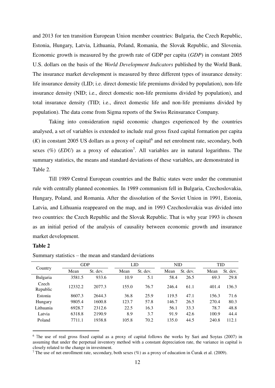and 2013 for ten transition European Union member countries: Bulgaria, the Czech Republic, Estonia, Hungary, Latvia, Lithuania, Poland, Romania, the Slovak Republic, and Slovenia. Economic growth is measured by the growth rate of GDP per capita (*GDP*) in constant 2005 U.S. dollars on the basis of the *World Development Indicators* published by the World Bank. The insurance market development is measured by three different types of insurance density: life insurance density (LID; i.e. direct domestic life premiums divided by population), non-life insurance density (NID; i.e., direct domestic non-life premiums divided by population), and total insurance density (TID; i.e., direct domestic life and non-life premiums divided by population). The data come from Sigma reports of the Swiss Reinsurance Company.

 Taking into consideration rapid economic changes experienced by the countries analysed, a set of variables is extended to include real gross fixed capital formation per capita  $(K)$  in constant 2005 US dollars as a proxy of capital<sup>6</sup> and net enrolment rate, secondary, both sexes  $(\%)$  (*EDU*) as a proxy of education<sup>7</sup>. All variables are in natural logarithms. The summary statistics, the means and standard deviations of these variables, are demonstrated in Table 2.

 Till 1989 Central European countries and the Baltic states were under the communist rule with centrally planned economies. In 1989 communism fell in Bulgaria, Czechoslovakia, Hungary, Poland, and Romania. After the dissolution of the Soviet Union in 1991, Estonia, Latvia, and Lithuania reappeared on the map, and in 1993 Czechoslovakia was divided into two countries: the Czech Republic and the Slovak Republic. That is why year 1993 is chosen as an initial period of the analysis of causality between economic growth and insurance market development.

#### **Table 2**

-

|                   |         | <b>GDP</b> |       | LID      |       | <b>NID</b> |       | <b>TID</b> |  |
|-------------------|---------|------------|-------|----------|-------|------------|-------|------------|--|
| Country           | Mean    | St. dev.   | Mean  | St. dev. | Mean  | St. dev.   | Mean  | St. dev.   |  |
| <b>Bulgaria</b>   | 3581.5  | 933.6      | 10.9  | 5.1      | 58.4  | 26.5       | 69.3  | 29.8       |  |
| Czech<br>Republic | 12332.2 | 2077.3     | 155.0 | 76.7     | 246.4 | 61.1       | 401.4 | 136.3      |  |
| Estonia           | 8607.3  | 2644.3     | 36.8  | 25.9     | 119.5 | 47.1       | 156.3 | 71.6       |  |
| Hungary           | 9805.4  | 1600.8     | 123.7 | 57.8     | 146.7 | 26.5       | 270.4 | 80.3       |  |
| Lithuania         | 6928.7  | 2312.6     | 22.5  | 16.3     | 56.1  | 33.3       | 78.7  | 48.8       |  |
| Latvia            | 6318.8  | 2190.9     | 8.9   | 3.7      | 91.9  | 42.6       | 100.9 | 44.4       |  |
| Poland            | 7711.1  | 1938.8     | 105.8 | 70.2     | 135.0 | 44.5       | 240.8 | 112.1      |  |

Summary statistics – the mean and standard deviations

<sup>7</sup> The use of net enrollment rate, secondary, both sexes  $(\%)$  as a proxy of education in Curak et al. (2009).

<sup>6</sup> The use of real gross fixed capital as a proxy of capital follows the works by Sari and Soytas (2007) in assuming that under the perpetual inventory method with a constant depreciation rate, the variance in capital is closely related to the change in investment.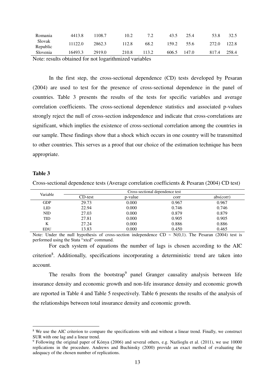| Romania                         | 4413.8  | 108.7   | 10.2  |       | 43.5  | 25.4  | 53.8  |       |
|---------------------------------|---------|---------|-------|-------|-------|-------|-------|-------|
| Slovak<br>Republic              | 11122.0 | 2862.3  | 112.8 | 68.2  | 159.2 | 55.6  | 272.0 | 122.8 |
| Slovenia                        | 16493.3 | 2919.0  | 210.8 | 113.2 | 606.5 | 147.0 | 817.4 | 258.4 |
| the contract of the contract of | .       | _______ | .     |       |       |       |       |       |

Note: results obtained for not logarithmized variables

 In the first step, the cross-sectional dependence (CD) tests developed by Pesaran (2004) are used to test for the presence of cross-sectional dependence in the panel of countries. Table 3 presents the results of the tests for specific variables and average correlation coefficients. The cross-sectional dependence statistics and associated p-values strongly reject the null of cross-section independence and indicate that cross-correlations are significant, which implies the existence of cross-sectional correlation among the countries in our sample. These findings show that a shock which occurs in one country will be transmitted to other countries. This serves as a proof that our choice of the estimation technique has been appropriate.

#### **Table 3**

-

Cross-sectional dependence tests (Average correlation coefficients & Pesaran (2004) CD test)

| Variable   | Cross-sectional dependence test |         |       |           |  |  |  |
|------------|---------------------------------|---------|-------|-----------|--|--|--|
|            | CD-test                         | p-value | corr  | abs(corr) |  |  |  |
| <b>GDP</b> | 29.73                           | 0.000   | 0.967 | 0.967     |  |  |  |
| LID        | 22.94                           | 0.000   | 0.746 | 0.746     |  |  |  |
| <b>NID</b> | 27.03                           | 0.000   | 0.879 | 0.879     |  |  |  |
| <b>TID</b> | 27.81                           | 0.000   | 0.905 | 0.905     |  |  |  |
| K          | 27.24                           | 0.000   | 0.886 | 0.886     |  |  |  |
| <b>EDU</b> | 13.83                           | 0.000   | 0.450 | 0.465     |  |  |  |

Note: Under the null hypothesis of cross-section independence CD  $\sim N(0,1)$ . The Pesaran (2004) test is performed using the Stata "xtcd" command.

 For each system of equations the number of lags is chosen according to the AIC criterion<sup>8</sup>. Additionally, specifications incorporating a deterministic trend are taken into account.

The results from the bootstrap<sup>9</sup> panel Granger causality analysis between life insurance density and economic growth and non-life insurance density and economic growth are reported in Table 4 and Table 5 respectively. Table 6 presents the results of the analysis of the relationships between total insurance density and economic growth.

<sup>&</sup>lt;sup>8</sup> We use the AIC criterion to compare the specifications with and without a linear trend. Finally, we construct SUR with one lag and a linear trend.

<sup>9</sup> Following the original paper of Kónya (2006) and several others, e.g. Nazlioglu et al. (2011), we use 10000 replications in the procedure. Andrews and Buchinsky (2000) provide an exact method of evaluating the adequacy of the chosen number of replications.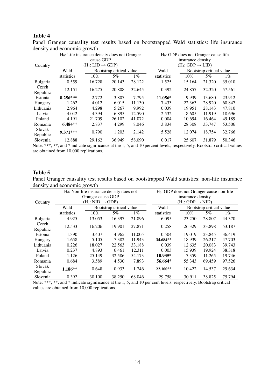### **Table 4**

|           |            | $H_0$ : Life insurance density does not Granger |                          | $H_0$ : GDP does not Granger cause life |            |                              |                          |        |
|-----------|------------|-------------------------------------------------|--------------------------|-----------------------------------------|------------|------------------------------|--------------------------|--------|
|           |            | cause GDP                                       |                          |                                         |            | insurance density            |                          |        |
| Country   |            | $(H_1: LID \rightarrow GDP)$                    |                          |                                         |            | $(H_1: GDP \rightarrow LID)$ |                          |        |
|           | Wald       |                                                 | Bootstrap critical value |                                         | Wald       |                              | Bootstrap critical value |        |
|           | statistics | $10\%$                                          | 5%                       | $1\%$                                   | statistics | $10\%$                       | 5%                       | $1\%$  |
| Bulgaria  | 0.559      | 16.728                                          | 20.143                   | 28.122                                  | 1.525      | 15.164                       | 21.320                   | 35.010 |
| Czech     | 12.151     | 16.275                                          | 20.808                   | 32.645                                  | 0.392      | 24.857                       | 32.320                   | 57.561 |
| Republic  |            |                                                 |                          |                                         |            |                              |                          |        |
| Estonia   | $8.256***$ | 2.772                                           | 3.807                    | 7.795                                   | 11.056*    | 9.939                        | 13.680                   | 23.912 |
| Hungary   | 1.262      | 4.012                                           | 6.015                    | 11.130                                  | 7.433      | 22.363                       | 28.920                   | 60.847 |
| Lithuania | 2.964      | 4.298                                           | 5.267                    | 9.992                                   | 0.039      | 19.951                       | 28.143                   | 47.810 |
| Latvia    | 4.042      | 4.394                                           | 6.895                    | 12.590                                  | 2.532      | 8.605                        | 11.919                   | 18.696 |
| Poland    | 4.191      | 21.709                                          | 26.102                   | 41.072                                  | 0.004      | 10.694                       | 16.464                   | 49.189 |
| Romania   | $6.484**$  | 2.837                                           | 4.299                    | 8.046                                   | 3.834      | 28.308                       | 33.747                   | 53.506 |
| Slovak    | $9.371***$ | 0.790                                           | 1.203                    | 2.142                                   | 5.528      | 12.074                       | 18.754                   | 32.766 |
| Republic  |            |                                                 |                          |                                         |            |                              |                          |        |
| Slovenia  | 12.888     | 29.162                                          | 36.949                   | 58.090                                  | 0.017      | 25.607                       | 31.879                   | 50.346 |

Panel Granger causality test results based on bootstrapped Wald statistics: life insurance density and economic growth

Note: \*\*\*, \*\*, and \* indicate significance at the 1, 5, and 10 percent levels, respectively. Bootstrap critical values are obtained from 10,000 replications.

#### **Table 5**

Panel Granger causality test results based on bootstrapped Wald statistics: non-life insurance density and economic growth

|                 |            | $H0$ : Non-life insurance density does not |                          |        | H <sub>0</sub> : GDP does not Granger cause non-life |                              |                          |        |
|-----------------|------------|--------------------------------------------|--------------------------|--------|------------------------------------------------------|------------------------------|--------------------------|--------|
|                 |            | Granger cause GDP                          |                          |        | insurance density                                    |                              |                          |        |
| Country         |            | $(H_1: NID \rightarrow GDP)$               |                          |        |                                                      | $(H_1: GDP \rightarrow NID)$ |                          |        |
|                 | Wald       |                                            | Bootstrap critical value |        | Wald                                                 |                              | Bootstrap critical value |        |
|                 | statistics | $10\%$                                     | 5%                       | $1\%$  | statistics                                           | $10\%$                       | $5\%$                    | $1\%$  |
| <b>Bulgaria</b> | 4.925      | 13.053                                     | 16.397                   | 21.896 | 6.095                                                | 23.250                       | 28.807                   | 44.370 |
| Czech           | 12.533     | 16.206                                     | 19.901                   | 27.871 | 0.258                                                | 26.329                       | 33.898                   | 53.187 |
| Republic        |            |                                            |                          |        |                                                      |                              |                          |        |
| Estonia         | 1.390      | 3.407                                      | 4.965                    | 11.005 | 0.504                                                | 19.019                       | 23.845                   | 36.419 |
| Hungary         | 1.658      | 5.105                                      | 7.382                    | 11.943 | 34.684**                                             | 18.939                       | 26.217                   | 47.703 |
| Lithuania       | 0.226      | 18.027                                     | 22.563                   | 33.188 | 0.039                                                | 12.635                       | 20.083                   | 39.743 |
| Latvia          | 0.237      | 4.893                                      | 6.461                    | 12.311 | 0.003                                                | 15.939                       | 19.924                   | 38.318 |
| Poland          | 1.126      | 25.149                                     | 32.586                   | 54.173 | $10.935*$                                            | 7.359                        | 11.265                   | 19.746 |
| Romania         | 0.684      | 3.589                                      | 4.530                    | 7.893  | 56.664*                                              | 55.343                       | 69.459                   | 97.526 |
| Slovak          | 1.186**    | 0.648                                      | 0.933                    | 1.746  | 22.100**                                             | 10.422                       | 14.537                   | 29.634 |
| Republic        |            |                                            |                          |        |                                                      |                              |                          |        |
| Slovenia        | 0.392      | 30.100                                     | 38.250                   | 68.046 | 29.758                                               | 30.911                       | 38.825                   | 75.794 |

Note: \*\*\*, \*\*, and \* indicate significance at the 1, 5, and 10 per cent levels, respectively. Bootstrap critical values are obtained from 10,000 replications.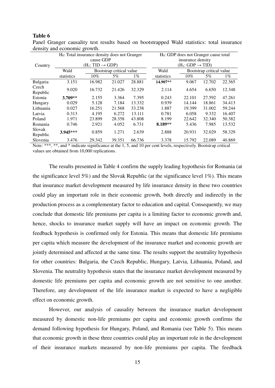#### **Table 6**

|           | $H_0$ : Total insurance density does not Granger |                              |                          |        | $H_0$ : GDP does not Granger cause total |                              |                          |        |
|-----------|--------------------------------------------------|------------------------------|--------------------------|--------|------------------------------------------|------------------------------|--------------------------|--------|
|           |                                                  | cause GDP                    |                          |        |                                          | insurance density            |                          |        |
| Country   |                                                  | $(H_1: TID \rightarrow GDP)$ |                          |        |                                          | $(H_1: GDP \rightarrow TID)$ |                          |        |
|           | Wald                                             |                              | Bootstrap critical value |        | Wald                                     |                              | Bootstrap critical value |        |
|           | statistics                                       | $10\%$                       | 5%                       | $1\%$  | statistics                               | $10\%$                       | 5%                       | $1\%$  |
| Bulgaria  | 3.151                                            | 16.982                       | 21.027                   | 28.881 | 14.907**                                 | 9.067                        | 12.702                   | 22.365 |
| Czech     | 9.020                                            | 16.732                       | 21.426                   | 32.329 | 2.114                                    | 4.654                        | 6.650                    | 12.348 |
| Republic  |                                                  |                              |                          |        |                                          |                              |                          |        |
| Estonia   | 3.709**                                          | 2.155                        | 3.364                    | 7.395  | 0.243                                    | 22.101                       | 27.592                   | 47.261 |
| Hungary   | 0.029                                            | 5.128                        | 7.184                    | 13.332 | 0.939                                    | 14.144                       | 18.861                   | 34.413 |
| Lithuania | 0.027                                            | 16.251                       | 21.568                   | 33.238 | 1.887                                    | 19.399                       | 31.002                   | 59.244 |
| Latvia    | 0.313                                            | 4.195                        | 6.272                    | 13.111 | 0.781                                    | 6.058                        | 9.332                    | 16.407 |
| Poland    | 1.971                                            | 23.899                       | 28.358                   | 43.808 | 8.199                                    | 22.642                       | 32.340                   | 50.382 |
| Romania   | 0.746                                            | 2.921                        | 4.052                    | 6.731  | 8.189**                                  | 5.436                        | 7.985                    | 13.532 |
| Slovak    | 3.945***                                         | 0.859                        | 1.271                    | 2.639  | 2.888                                    | 20.931                       | 32.029                   | 58.329 |
| Republic  |                                                  |                              |                          |        |                                          |                              |                          |        |
| Slovenia  | 3.476                                            | 29.342                       | 39.351                   | 66.736 | 3.378                                    | 15.792                       | 22.089                   | 40.869 |

Panel Granger causality test results based on bootstrapped Wald statistics: total insurance density and economic growth.

Note: \*\*\*, \*\*, and \* indicate significance at the 1, 5, and 10 per cent levels, respectively. Bootstrap critical values are obtained from 10,000 replications.

 The results presented in Table 4 confirm the supply leading hypothesis for Romania (at the significance level 5%) and the Slovak Republic (at the significance level 1%). This means that insurance market development measured by life insurance density in these two countries could play an important role in their economic growth, both directly and indirectly in the production process as a complementary factor to education and capital. Consequently, we may conclude that domestic life premiums per capita is a limiting factor to economic growth and, hence, shocks to insurance market supply will have an impact on economic growth. The feedback hypothesis is confirmed only for Estonia. This means that domestic life premiums per capita which measure the development of the insurance market and economic growth are jointly determined and affected at the same time. The results support the neutrality hypothesis for other countries: Bulgaria, the Czech Republic, Hungary, Latvia, Lithuania, Poland, and Slovenia. The neutrality hypothesis states that the insurance market development measured by domestic life premiums per capita and economic growth are not sensitive to one another. Therefore, any development of the life insurance market is expected to have a negligible effect on economic growth.

 However, our analysis of causality between the insurance market development measured by domestic non-life premiums per capita and economic growth confirms the demand following hypothesis for Hungary, Poland, and Romania (see Table 5). This means that economic growth in these three countries could play an important role in the development of their insurance markets measured by non-life premiums per capita. The feedback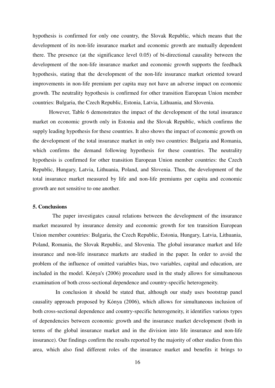hypothesis is confirmed for only one country, the Slovak Republic, which means that the development of its non-life insurance market and economic growth are mutually dependent there. The presence (at the significance level 0.05) of bi-directional causality between the development of the non-life insurance market and economic growth supports the feedback hypothesis, stating that the development of the non-life insurance market oriented toward improvements in non-life premium per capita may not have an adverse impact on economic growth. The neutrality hypothesis is confirmed for other transition European Union member countries: Bulgaria, the Czech Republic, Estonia, Latvia, Lithuania, and Slovenia.

 However, Table 6 demonstrates the impact of the development of the total insurance market on economic growth only in Estonia and the Slovak Republic, which confirms the supply leading hypothesis for these countries. It also shows the impact of economic growth on the development of the total insurance market in only two countries: Bulgaria and Romania, which confirms the demand following hypothesis for these countries. The neutrality hypothesis is confirmed for other transition European Union member countries: the Czech Republic, Hungary, Latvia, Lithuania, Poland, and Slovenia. Thus, the development of the total insurance market measured by life and non-life premiums per capita and economic growth are not sensitive to one another.

#### **5. Conclusions**

 The paper investigates causal relations between the development of the insurance market measured by insurance density and economic growth for ten transition European Union member countries: Bulgaria, the Czech Republic, Estonia, Hungary, Latvia, Lithuania, Poland, Romania, the Slovak Republic, and Slovenia. The global insurance market and life insurance and non-life insurance markets are studied in the paper. In order to avoid the problem of the influence of omitted variables bias, two variables, capital and education, are included in the model. Kónya's (2006) procedure used in the study allows for simultaneous examination of both cross-sectional dependence and country-specific heterogeneity.

 In conclusion it should be stated that, although our study uses bootstrap panel causality approach proposed by Kónya (2006), which allows for simultaneous inclusion of both cross-sectional dependence and country-specific heterogeneity, it identifies various types of dependencies between economic growth and the insurance market development (both in terms of the global insurance market and in the division into life insurance and non-life insurance). Our findings confirm the results reported by the majority of other studies from this area, which also find different roles of the insurance market and benefits it brings to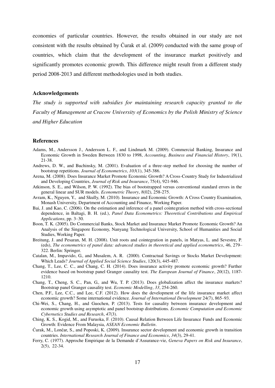economies of particular countries. However, the results obtained in our study are not consistent with the results obtained by Ćurak et al. (2009) conducted with the same group of countries, which claim that the development of the insurance market positively and significantly promotes economic growth. This difference might result from a different study period 2008-2013 and different methodologies used in both studies.

#### **Acknowledgements**

*The study is supported with subsidies for maintaining research capacity granted to the Faculty of Management at Cracow University of Economics by the Polish Ministry of Science and Higher Education*

#### **References**

- Adams, M., Andersson J., Andersson L. F., and Lindmark M. (2009). Commercial Banking, Insurance and Economic Growth in Sweden Between 1830 to 1998, *Accounting, Business and Financial History*, 19(1), 21-38.
- Andrews, D. W., and Buchinsky, M. (2001). Evaluation of a three-step method for choosing the number of bootstrap repetitions. *Journal of Econometrics*, *103*(1), 345-386.
- Arena, M. (2008). Does Insurance Market Promote Economic Growth? A Cross-Country Study for Industrialized and Developing Countries, *Journal of Risk and Insurance*, 75(4), 921-946.
- Atkinson, S. E., and Wilson, P. W. (1992). The bias of bootstrapped versus conventional standard errors in the general linear and SUR models. *Econometric Theory*, *8*(02), 258-275.
- Avram, K., Nguyen, Y., and Skully, M. (2010). Insurance and Economic Growth: A Cross Country Examination, Monash University, Department of Accounting and Finance, Working Paper.
- Bai, J. and Kao, C. (2006). On the estimation and inference of a panel cointegration method with cross-sectional dependence, in Baltagi, B. H. (ed.), *Panel Data Econometrics: Theoretical Contributions and Empirical Applications*, pp. 3–30.
- Boon, T. K. (2005). Do Commercial Banks, Stock Market and Insurance Market Promote Economic Growth? An Analysis of the Singapore Economy, Nanyang Technological University, School of Humanities and Social Studies, Working Paper.
- Breitung, J. and Pesaran, M. H. (2008). Unit roots and cointegration in panels, in Matyas, L. and Sevestre, P. (eds), *The econometrics of panel data: advanced studies in theoretical and applied econometrics*, 46, 279– 322. Berlin: Springer.
- Catalan, M., Impavido, G., and Musalem, A. R. (2000). Contractual Savings or Stocks Market Development: Which Leads? *Journal of Applied Social Science Studies*, 120(3), 445-487.
- Chang, T., Lee, C. C., and Chang, C. H. (2014). Does insurance activity promote economic growth? Further evidence based on bootstrap panel Granger causality test. *The European Journal of Finance*, *20*(12), 1187- 1210.
- Chang, T., Cheng, S. C., Pan, G., and Wu, T. P. (2013). Does globalization affect the insurance markets? Bootstrap panel Granger causality test. *Economic Modelling*, *33*, 254-260.
- Chen, P.F., Lee, C.C., and Lee, C.F. (2012). How does the development of the life insurance market affect economic growth? Some international evidence. *Journal of International Development* 24(7), 865–93.
- Chi-Wei, S., Chang, H., and Guochen, P. (2013). Tests for causality between insurance development and economic growth using asymptotic and panel bootstrap distributions. *Economic Computation and Economic Cybernetics Studies and Research*, *47*(3).
- Ching, K. S., Kogid, M., and Furuoka, F. (2010). Causal Relation Between Life Insurance Funds and Economic Growth: Evidence From Malaysia, *ASEAN Economic Bulletin*.
- Ćurak, M., Lončar, S., and Poposki, K. (2009). Insurance sector development and economic growth in transition countries. *International Research Journal of Finance and Economics*, *34*(3), 29-41.
- Ferry, C. (1977). Approche Empirique de la Demande d'Assurance-vie, *Geneva Papers on Risk and Insurance*, 2(5), 22-34.